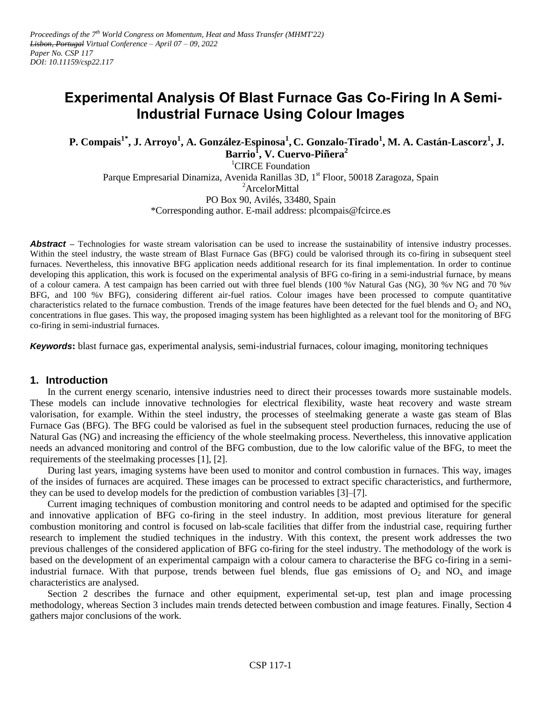# **Experimental Analysis Of Blast Furnace Gas Co-Firing In A Semi-Industrial Furnace Using Colour Images**

**P. Compais1\* , J. Arroyo<sup>1</sup> , A. González-Espinosa<sup>1</sup> , C. Gonzalo-Tirado<sup>1</sup> , M. A. Castán-Lascorz<sup>1</sup> , J. Barrio<sup>1</sup> , V. Cuervo-Piñera<sup>2</sup>**

<sup>1</sup>CIRCE Foundation Parque Empresarial Dinamiza, Avenida Ranillas 3D, 1<sup>st</sup> Floor, 50018 Zaragoza, Spain <sup>2</sup>ArcelorMittal PO Box 90, Avilés, 33480, Spain \*Corresponding author. E-mail address: plcompais@fcirce.es

**Abstract** – Technologies for waste stream valorisation can be used to increase the sustainability of intensive industry processes. Within the steel industry, the waste stream of Blast Furnace Gas (BFG) could be valorised through its co-firing in subsequent steel furnaces. Nevertheless, this innovative BFG application needs additional research for its final implementation. In order to continue developing this application, this work is focused on the experimental analysis of BFG co-firing in a semi-industrial furnace, by means of a colour camera. A test campaign has been carried out with three fuel blends (100 %v Natural Gas (NG), 30 %v NG and 70 %v BFG, and 100 %v BFG), considering different air-fuel ratios. Colour images have been processed to compute quantitative characteristics related to the furnace combustion. Trends of the image features have been detected for the fuel blends and  $O_2$  and  $NO_x$ concentrations in flue gases. This way, the proposed imaging system has been highlighted as a relevant tool for the monitoring of BFG co-firing in semi-industrial furnaces.

*Keywords***:** blast furnace gas, experimental analysis, semi-industrial furnaces, colour imaging, monitoring techniques

## **1. Introduction**

In the current energy scenario, intensive industries need to direct their processes towards more sustainable models. These models can include innovative technologies for electrical flexibility, waste heat recovery and waste stream valorisation, for example. Within the steel industry, the processes of steelmaking generate a waste gas steam of Blas Furnace Gas (BFG). The BFG could be valorised as fuel in the subsequent steel production furnaces, reducing the use of Natural Gas (NG) and increasing the efficiency of the whole steelmaking process. Nevertheless, this innovative application needs an advanced monitoring and control of the BFG combustion, due to the low calorific value of the BFG, to meet the requirements of the steelmaking processes [1], [2].

During last years, imaging systems have been used to monitor and control combustion in furnaces. This way, images of the insides of furnaces are acquired. These images can be processed to extract specific characteristics, and furthermore, they can be used to develop models for the prediction of combustion variables [3]–[7].

Current imaging techniques of combustion monitoring and control needs to be adapted and optimised for the specific and innovative application of BFG co-firing in the steel industry. In addition, most previous literature for general combustion monitoring and control is focused on lab-scale facilities that differ from the industrial case, requiring further research to implement the studied techniques in the industry. With this context, the present work addresses the two previous challenges of the considered application of BFG co-firing for the steel industry. The methodology of the work is based on the development of an experimental campaign with a colour camera to characterise the BFG co-firing in a semiindustrial furnace. With that purpose, trends between fuel blends, flue gas emissions of  $O_2$  and  $NO_x$  and image characteristics are analysed.

Section 2 describes the furnace and other equipment, experimental set-up, test plan and image processing methodology, whereas Section 3 includes main trends detected between combustion and image features. Finally, Section 4 gathers major conclusions of the work.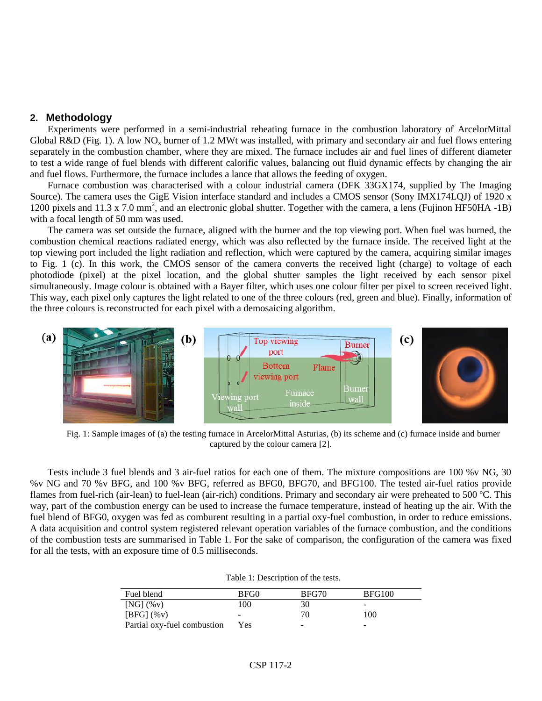## **2. Methodology**

Experiments were performed in a semi-industrial reheating furnace in the combustion laboratory of ArcelorMittal Global R&D [\(Fig. 1\)](#page-1-0). A low NO<sub>x</sub> burner of 1.2 MWt was installed, with primary and secondary air and fuel flows entering separately in the combustion chamber, where they are mixed. The furnace includes air and fuel lines of different diameter to test a wide range of fuel blends with different calorific values, balancing out fluid dynamic effects by changing the air and fuel flows. Furthermore, the furnace includes a lance that allows the feeding of oxygen.

Furnace combustion was characterised with a colour industrial camera (DFK 33GX174, supplied by The Imaging Source). The camera uses the GigE Vision interface standard and includes a CMOS sensor (Sony IMX174LQJ) of 1920 x 1200 pixels and 11.3 x 7.0 mm<sup>2</sup>, and an electronic global shutter. Together with the camera, a lens (Fujinon HF50HA -1B) with a focal length of 50 mm was used.

The camera was set outside the furnace, aligned with the burner and the top viewing port. When fuel was burned, the combustion chemical reactions radiated energy, which was also reflected by the furnace inside. The received light at the top viewing port included the light radiation and reflection, which were captured by the camera, acquiring similar images to [Fig. 1](#page-1-0) (c). In this work, the CMOS sensor of the camera converts the received light (charge) to voltage of each photodiode (pixel) at the pixel location, and the global shutter samples the light received by each sensor pixel simultaneously. Image colour is obtained with a Bayer filter, which uses one colour filter per pixel to screen received light. This way, each pixel only captures the light related to one of the three colours (red, green and blue). Finally, information of the three colours is reconstructed for each pixel with a demosaicing algorithm.



<span id="page-1-0"></span>Fig. 1: Sample images of (a) the testing furnace in ArcelorMittal Asturias, (b) its scheme and (c) furnace inside and burner captured by the colour camera [2].

Tests include 3 fuel blends and 3 air-fuel ratios for each one of them. The mixture compositions are 100 %v NG, 30 %v NG and 70 %v BFG, and 100 %v BFG, referred as BFG0, BFG70, and BFG100. The tested air-fuel ratios provide flames from fuel-rich (air-lean) to fuel-lean (air-rich) conditions. Primary and secondary air were preheated to 500 ºC. This way, part of the combustion energy can be used to increase the furnace temperature, instead of heating up the air. With the fuel blend of BFG0, oxygen was fed as comburent resulting in a partial oxy-fuel combustion, in order to reduce emissions. A data acquisition and control system registered relevant operation variables of the furnace combustion, and the conditions of the combustion tests are summarised in [Table 1.](#page-1-1) For the sake of comparison, the configuration of the camera was fixed for all the tests, with an exposure time of 0.5 milliseconds.

| Table 1: Description of the tests. |
|------------------------------------|
|------------------------------------|

<span id="page-1-1"></span>

| Fuel blend                  | BFG0 | BFG70                    | <b>BFG100</b> |
|-----------------------------|------|--------------------------|---------------|
| $[NG]$ $(\%v)$              | 100  | 30                       |               |
| $[BFG]$ $(\%v)$             | -    | 70                       | 100           |
| Partial oxy-fuel combustion | Yes  | $\overline{\phantom{a}}$ | -             |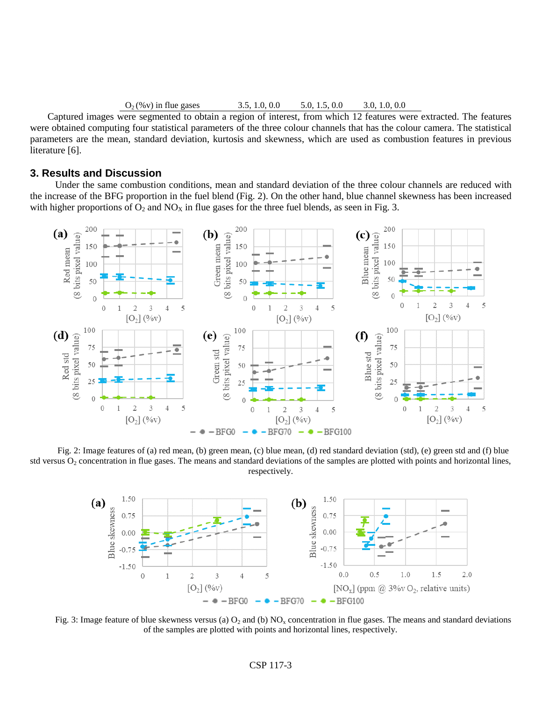#### $O_2$  (%v) in flue gases 3.5, 1.0, 0.0 5.0, 1.5, 0.0 3.0, 1.0, 0.0

Captured images were segmented to obtain a region of interest, from which 12 features were extracted. The features were obtained computing four statistical parameters of the three colour channels that has the colour camera. The statistical parameters are the mean, standard deviation, kurtosis and skewness, which are used as combustion features in previous literature [6].

#### **3. Results and Discussion**

Under the same combustion conditions, mean and standard deviation of the three colour channels are reduced with the increase of the BFG proportion in the fuel blend [\(Fig. 2\)](#page-2-0). On the other hand, blue channel skewness has been increased with higher proportions of  $O_2$  and  $NO_X$  in flue gases for the three fuel blends, as seen in [Fig. 3.](#page-2-1)



<span id="page-2-0"></span>Fig. 2: Image features of (a) red mean, (b) green mean, (c) blue mean, (d) red standard deviation (std), (e) green std and (f) blue std versus  $O_2$  concentration in flue gases. The means and standard deviations of the samples are plotted with points and horizontal lines, respectively.



<span id="page-2-1"></span>Fig. 3: Image feature of blue skewness versus (a)  $O_2$  and (b) NO<sub>x</sub> concentration in flue gases. The means and standard deviations of the samples are plotted with points and horizontal lines, respectively.